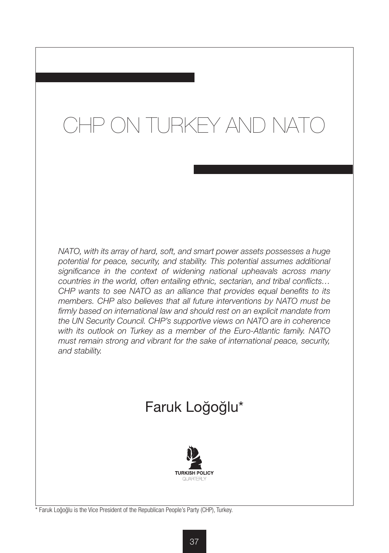# CHP ON TURKEY AND NATO

*NATO, with its array of hard, soft, and smart power assets possesses a huge potential for peace, security, and stability. This potential assumes additional significance in the context of widening national upheavals across many countries in the world, often entailing ethnic, sectarian, and tribal conflicts… CHP wants to see NATO as an alliance that provides equal benefits to its members. CHP also believes that all future interventions by NATO must be firmly based on international law and should rest on an explicit mandate from the UN Security Council. CHP's supportive views on NATO are in coherence with its outlook on Turkey as a member of the Euro-Atlantic family. NATO must remain strong and vibrant for the sake of international peace, security, and stability.*

## Faruk Loğoğlu\*



\* Faruk Loğoğlu is the Vice President of the Republican People's Party (CHP), Turkey.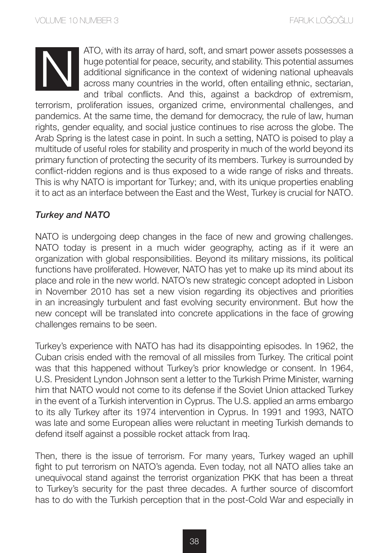ATO, with its array of hard, soft, and smart power assets possesses a huge potential for peace, security, and stability. This potential assumes additional significance in the context of widening national upheavals across many countries in the world, often entailing ethnic, sectarian, and tribal conflicts. And this, against a backdrop of extremism,

terrorism, proliferation issues, organized crime, environmental challenges, and pandemics. At the same time, the demand for democracy, the rule of law, human rights, gender equality, and social justice continues to rise across the globe. The Arab Spring is the latest case in point. In such a setting, NATO is poised to play a multitude of useful roles for stability and prosperity in much of the world beyond its primary function of protecting the security of its members. Turkey is surrounded by conflict-ridden regions and is thus exposed to a wide range of risks and threats. This is why NATO is important for Turkey; and, with its unique properties enabling it to act as an interface between the East and the West, Turkey is crucial for NATO.

### *Turkey and NATO*

NATO is undergoing deep changes in the face of new and growing challenges. NATO today is present in a much wider geography, acting as if it were an organization with global responsibilities. Beyond its military missions, its political functions have proliferated. However, NATO has yet to make up its mind about its place and role in the new world. NATO's new strategic concept adopted in Lisbon in November 2010 has set a new vision regarding its objectives and priorities in an increasingly turbulent and fast evolving security environment. But how the new concept will be translated into concrete applications in the face of growing challenges remains to be seen.

Turkey's experience with NATO has had its disappointing episodes. In 1962, the Cuban crisis ended with the removal of all missiles from Turkey. The critical point was that this happened without Turkey's prior knowledge or consent. In 1964, U.S. President Lyndon Johnson sent a letter to the Turkish Prime Minister, warning him that NATO would not come to its defense if the Soviet Union attacked Turkey in the event of a Turkish intervention in Cyprus. The U.S. applied an arms embargo to its ally Turkey after its 1974 intervention in Cyprus. In 1991 and 1993, NATO was late and some European allies were reluctant in meeting Turkish demands to defend itself against a possible rocket attack from Iraq.

Then, there is the issue of terrorism. For many years, Turkey waged an uphill fight to put terrorism on NATO's agenda. Even today, not all NATO allies take an unequivocal stand against the terrorist organization PKK that has been a threat to Turkey's security for the past three decades. A further source of discomfort has to do with the Turkish perception that in the post-Cold War and especially in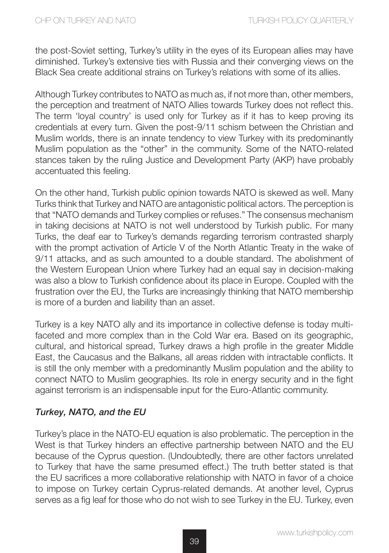the post-Soviet setting, Turkey's utility in the eyes of its European allies may have diminished. Turkey's extensive ties with Russia and their converging views on the Black Sea create additional strains on Turkey's relations with some of its allies.

Although Turkey contributes to NATO as much as, if not more than, other members, the perception and treatment of NATO Allies towards Turkey does not reflect this. The term 'loyal country' is used only for Turkey as if it has to keep proving its credentials at every turn. Given the post-9/11 schism between the Christian and Muslim worlds, there is an innate tendency to view Turkey with its predominantly Muslim population as the "other" in the community. Some of the NATO-related stances taken by the ruling Justice and Development Party (AKP) have probably accentuated this feeling.

On the other hand, Turkish public opinion towards NATO is skewed as well. Many Turks think that Turkey and NATO are antagonistic political actors. The perception is that "NATO demands and Turkey complies or refuses." The consensus mechanism in taking decisions at NATO is not well understood by Turkish public. For many Turks, the deaf ear to Turkey's demands regarding terrorism contrasted sharply with the prompt activation of Article V of the North Atlantic Treaty in the wake of 9/11 attacks, and as such amounted to a double standard. The abolishment of the Western European Union where Turkey had an equal say in decision-making was also a blow to Turkish confidence about its place in Europe. Coupled with the frustration over the EU, the Turks are increasingly thinking that NATO membership is more of a burden and liability than an asset.

Turkey is a key NATO ally and its importance in collective defense is today multifaceted and more complex than in the Cold War era. Based on its geographic, cultural, and historical spread, Turkey draws a high profile in the greater Middle East, the Caucasus and the Balkans, all areas ridden with intractable conflicts. It is still the only member with a predominantly Muslim population and the ability to connect NATO to Muslim geographies. Its role in energy security and in the fight against terrorism is an indispensable input for the Euro-Atlantic community.

### *Turkey, NATO, and the EU*

Turkey's place in the NATO-EU equation is also problematic. The perception in the West is that Turkey hinders an effective partnership between NATO and the EU because of the Cyprus question. (Undoubtedly, there are other factors unrelated to Turkey that have the same presumed effect.) The truth better stated is that the EU sacrifices a more collaborative relationship with NATO in favor of a choice to impose on Turkey certain Cyprus-related demands. At another level, Cyprus serves as a fig leaf for those who do not wish to see Turkey in the EU. Turkey, even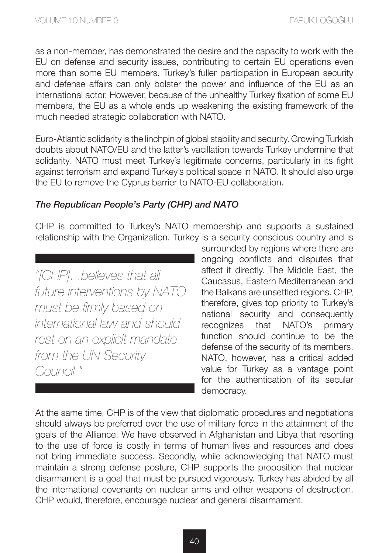as a non-member, has demonstrated the desire and the capacity to work with the EU on defense and security issues, contributing to certain EU operations even more than some EU members. Turkey's fuller participation in European security and defense affairs can only bolster the power and influence of the EU as an international actor. However, because of the unhealthy Turkey fixation of some EU members, the EU as a whole ends up weakening the existing framework of the much needed strategic collaboration with NATO.

Euro-Atlantic solidarity is the linchpin of global stability and security. Growing Turkish doubts about NATO/EU and the latter's vacillation towards Turkey undermine that solidarity. NATO must meet Turkey's legitimate concerns, particularly in its fight against terrorism and expand Turkey's political space in NATO. It should also urge the EU to remove the Cyprus barrier to NATO-EU collaboration.

### *The Republican People's Party (CHP) and NATO*

CHP is committed to Turkey's NATO membership and supports a sustained relationship with the Organization. Turkey is a security conscious country and is

*"[CHP]...believes that all future interventions by NATO must be firmly based on international law and should rest on an explicit mandate from the UN Security Council."* 

surrounded by regions where there are ongoing conflicts and disputes that affect it directly. The Middle East, the Caucasus, Eastern Mediterranean and the Balkans are unsettled regions. CHP, therefore, gives top priority to Turkey's national security and consequently recognizes that NATO's primary function should continue to be the defense of the security of its members. NATO, however, has a critical added value for Turkey as a vantage point for the authentication of its secular democracy.

At the same time, CHP is of the view that diplomatic procedures and negotiations should always be preferred over the use of military force in the attainment of the goals of the Alliance. We have observed in Afghanistan and Libya that resorting to the use of force is costly in terms of human lives and resources and does not bring immediate success. Secondly, while acknowledging that NATO must maintain a strong defense posture, CHP supports the proposition that nuclear disarmament is a goal that must be pursued vigorously. Turkey has abided by all the international covenants on nuclear arms and other weapons of destruction. CHP would, therefore, encourage nuclear and general disarmament.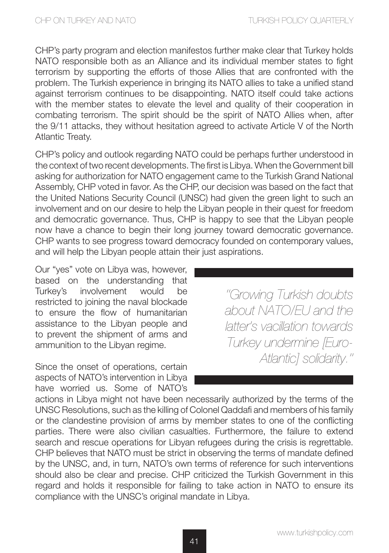CHP's party program and election manifestos further make clear that Turkey holds NATO responsible both as an Alliance and its individual member states to fight terrorism by supporting the efforts of those Allies that are confronted with the problem. The Turkish experience in bringing its NATO allies to take a unified stand against terrorism continues to be disappointing. NATO itself could take actions with the member states to elevate the level and quality of their cooperation in combating terrorism. The spirit should be the spirit of NATO Allies when, after the 9/11 attacks, they without hesitation agreed to activate Article V of the North Atlantic Treaty.

CHP's policy and outlook regarding NATO could be perhaps further understood in the context of two recent developments. The first is Libya. When the Government bill asking for authorization for NATO engagement came to the Turkish Grand National Assembly, CHP voted in favor. As the CHP, our decision was based on the fact that the United Nations Security Council (UNSC) had given the green light to such an involvement and on our desire to help the Libyan people in their quest for freedom and democratic governance. Thus, CHP is happy to see that the Libyan people now have a chance to begin their long journey toward democratic governance. CHP wants to see progress toward democracy founded on contemporary values, and will help the Libyan people attain their just aspirations.

Our "yes" vote on Libya was, however, based on the understanding that Turkey's involvement would be restricted to joining the naval blockade to ensure the flow of humanitarian assistance to the Libyan people and to prevent the shipment of arms and ammunition to the Libyan regime.

Since the onset of operations, certain aspects of NATO's intervention in Libya have worried us. Some of NATO's

*''Growing Turkish doubts about NATO/EU and the latter's vacillation towards Turkey undermine [Euro-Atlantic] solidarity.''*

actions in Libya might not have been necessarily authorized by the terms of the UNSC Resolutions, such as the killing of Colonel Qaddafi and members of his family or the clandestine provision of arms by member states to one of the conflicting parties. There were also civilian casualties. Furthermore, the failure to extend search and rescue operations for Libyan refugees during the crisis is regrettable. CHP believes that NATO must be strict in observing the terms of mandate defined by the UNSC, and, in turn, NATO's own terms of reference for such interventions should also be clear and precise. CHP criticized the Turkish Government in this regard and holds it responsible for failing to take action in NATO to ensure its compliance with the UNSC's original mandate in Libya.